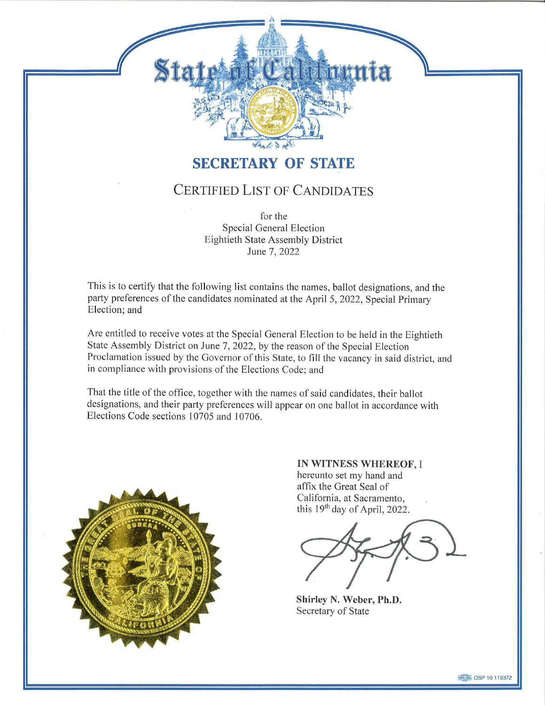## **SECRETARY OF STATE**

tatriat Caldinunia

## CERTIFIED LIST OF CANDIDATES

for the Special General Election Eightieth State Assembly District June 7, 2022

This is to certify that the following list contains the names, ballot designations, and the party preferences of the candidates nominated at the April 5, 2022, Special Primary Election; and

Are entitled to receive votes at the Special General Election to be held in the Eightieth State Assembly District on June 7, 2022, by the reason of the Special Election Proclamation issued by the Governor of this State, to fill the vacancy in said district, and in compliance with provisions of the Elections Code; and

That the title of the office, together with the names of said candidates, their ballot designations, and their party preferences will appear on one ballot in accordance with Elections Code sections 10705 and 10706.



**IN WITNESS WHEREOF,** I hereunto set my hand and affix the Great Seal of California, at Sacramento, this 19th day of April, 2022.

**Shirley N. Weber, Ph.D.**  Secretary of State